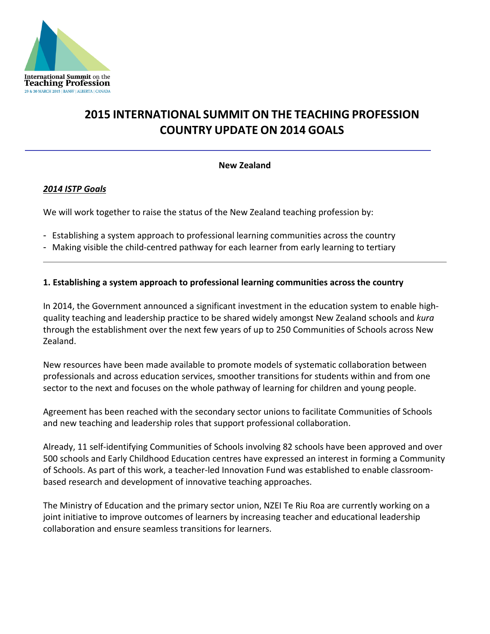

# **2015 INTERNATIONAL SUMMIT ON THE TEACHING PROFESSION COUNTRY UPDATE ON 2014 GOALS**

## **New Zealand**

## *2014 ISTP Goals*

We will work together to raise the status of the New Zealand teaching profession by:

- Establishing a system approach to professional learning communities across the country
- Making visible the child-centred pathway for each learner from early learning to tertiary

#### **1. Establishing a system approach to professional learning communities across the country**

In 2014, the Government announced a significant investment in the education system to enable highquality teaching and leadership practice to be shared widely amongst New Zealand schools and *kura* through the establishment over the next few years of up to 250 Communities of Schools across New Zealand.

New resources have been made available to promote models of systematic collaboration between professionals and across education services, smoother transitions for students within and from one sector to the next and focuses on the whole pathway of learning for children and young people.

Agreement has been reached with the secondary sector unions to facilitate Communities of Schools and new teaching and leadership roles that support professional collaboration.

Already, 11 self-identifying Communities of Schools involving 82 schools have been approved and over 500 schools and Early Childhood Education centres have expressed an interest in forming a Community of Schools. As part of this work, a teacher-led Innovation Fund was established to enable classroombased research and development of innovative teaching approaches.

The Ministry of Education and the primary sector union, NZEI Te Riu Roa are currently working on a joint initiative to improve outcomes of learners by increasing teacher and educational leadership collaboration and ensure seamless transitions for learners.